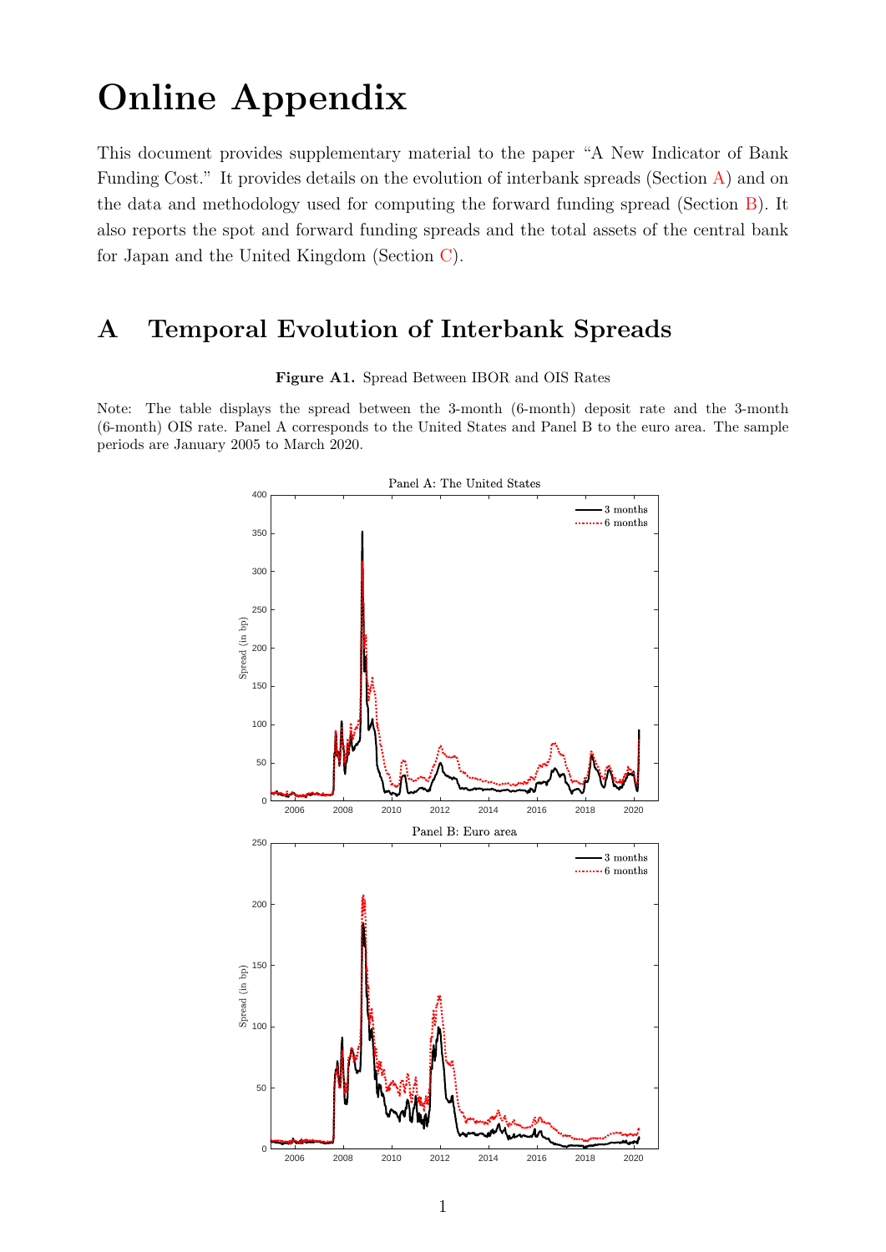# Online Appendix

This document provides supplementary material to the paper "A New Indicator of Bank Funding Cost." It provides details on the evolution of interbank spreads (Section [A\)](#page-0-0) and on the data and methodology used for computing the forward funding spread (Section [B\)](#page-2-0). It also reports the spot and forward funding spreads and the total assets of the central bank for Japan and the United Kingdom (Section [C\)](#page-6-0).

### <span id="page-0-0"></span>A Temporal Evolution of Interbank Spreads

Figure A1. Spread Between IBOR and OIS Rates

Note: The table displays the spread between the 3-month (6-month) deposit rate and the 3-month (6-month) OIS rate. Panel A corresponds to the United States and Panel B to the euro area. The sample periods are January 2005 to March 2020.

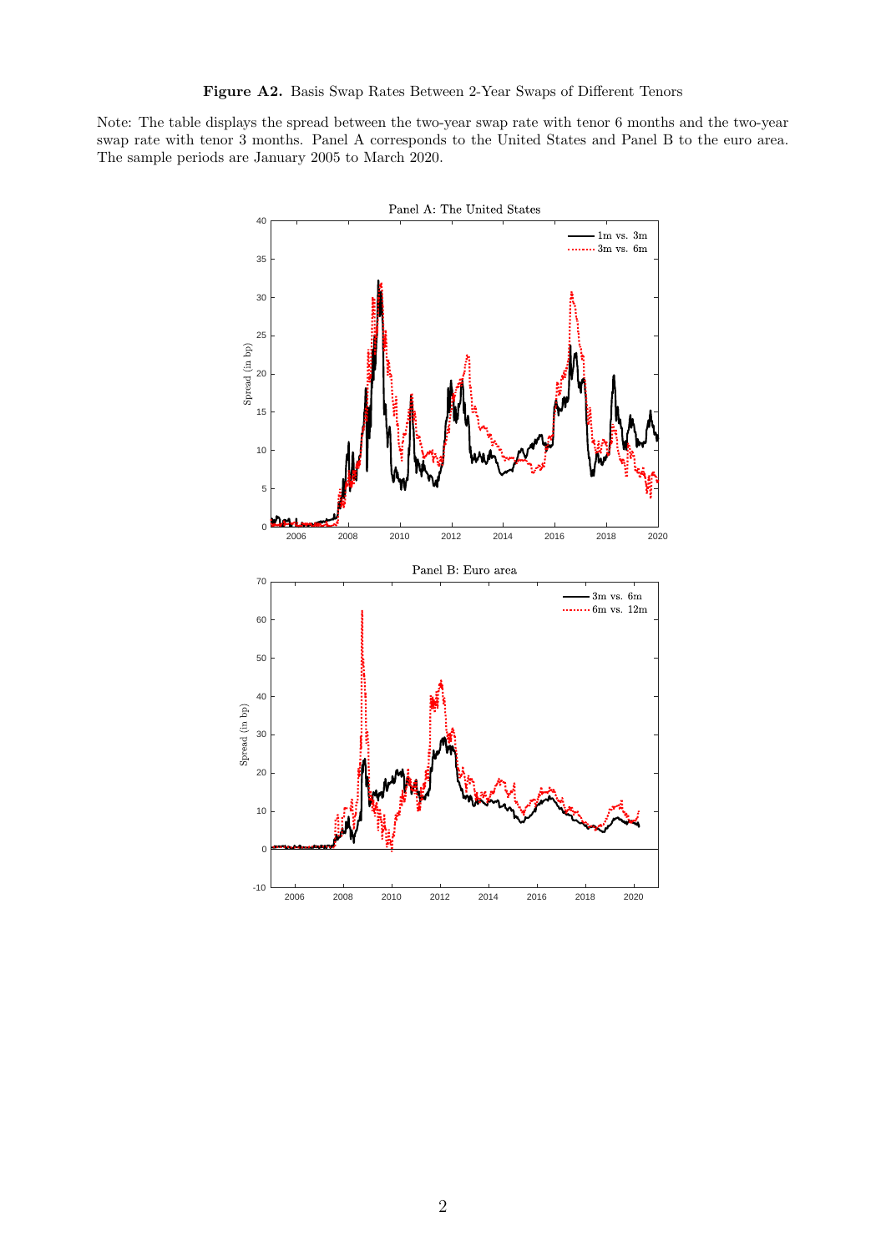Note: The table displays the spread between the two-year swap rate with tenor 6 months and the two-year swap rate with tenor 3 months. Panel A corresponds to the United States and Panel B to the euro area. The sample periods are January 2005 to March 2020.

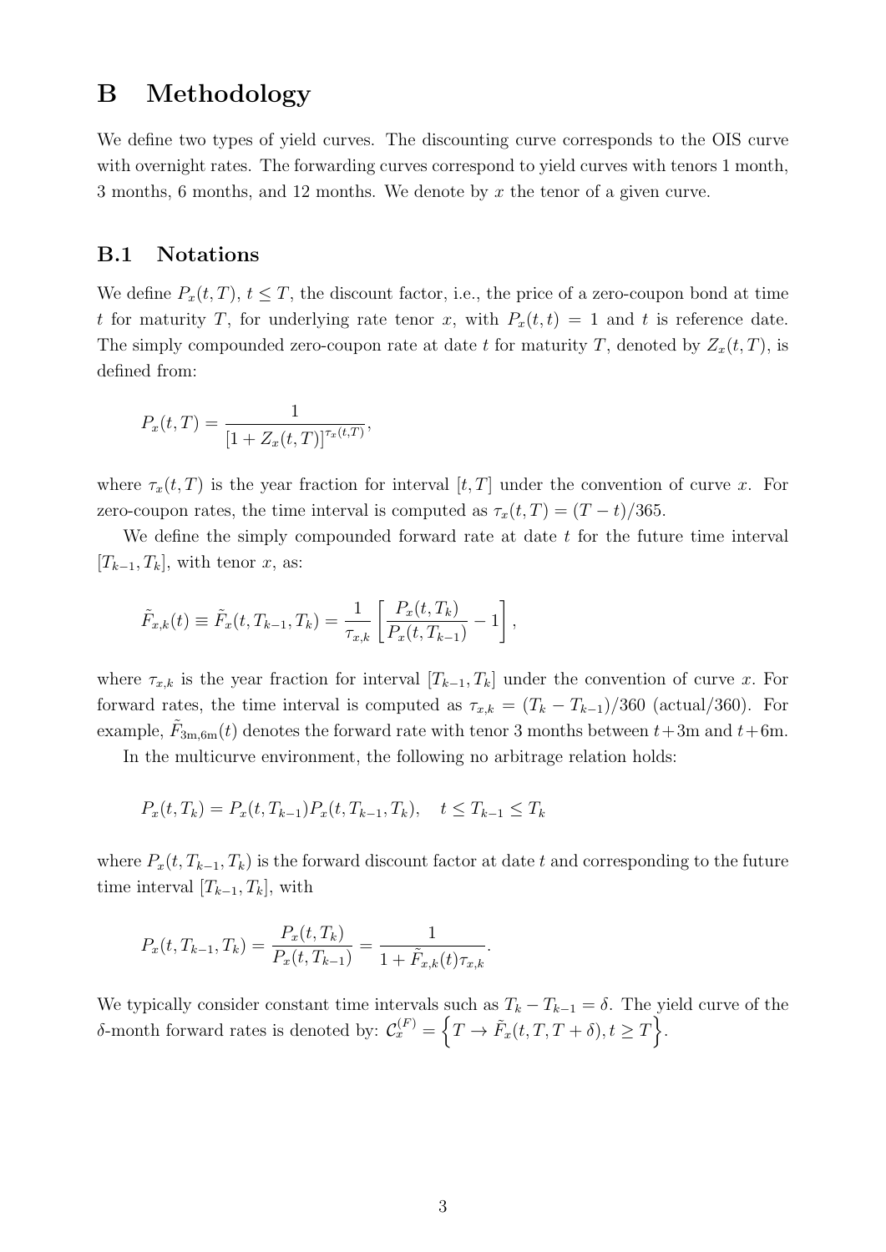## <span id="page-2-0"></span>B Methodology

We define two types of yield curves. The discounting curve corresponds to the OIS curve with overnight rates. The forwarding curves correspond to yield curves with tenors 1 month, 3 months, 6 months, and 12 months. We denote by x the tenor of a given curve.

#### B.1 Notations

We define  $P_x(t,T)$ ,  $t \leq T$ , the discount factor, i.e., the price of a zero-coupon bond at time t for maturity T, for underlying rate tenor x, with  $P_x(t,t) = 1$  and t is reference date. The simply compounded zero-coupon rate at date t for maturity T, denoted by  $Z_x(t,T)$ , is defined from:

$$
P_x(t,T) = \frac{1}{[1 + Z_x(t,T)]^{\tau_x(t,T)}},
$$

where  $\tau_x(t,T)$  is the year fraction for interval  $[t, T]$  under the convention of curve x. For zero-coupon rates, the time interval is computed as  $\tau_x(t,T) = (T-t)/365$ .

We define the simply compounded forward rate at date  $t$  for the future time interval  $[T_{k-1}, T_k]$ , with tenor x, as:

$$
\tilde{F}_{x,k}(t) \equiv \tilde{F}_x(t, T_{k-1}, T_k) = \frac{1}{\tau_{x,k}} \left[ \frac{P_x(t, T_k)}{P_x(t, T_{k-1})} - 1 \right],
$$

where  $\tau_{x,k}$  is the year fraction for interval  $[T_{k-1}, T_k]$  under the convention of curve x. For forward rates, the time interval is computed as  $\tau_{x,k} = (T_k - T_{k-1})/360$  (actual/360). For example,  $\tilde{F}_{3m,6m}(t)$  denotes the forward rate with tenor 3 months between  $t+3m$  and  $t+6m$ .

In the multicurve environment, the following no arbitrage relation holds:

$$
P_x(t, T_k) = P_x(t, T_{k-1}) P_x(t, T_{k-1}, T_k), \quad t \le T_{k-1} \le T_k
$$

where  $P_x(t, T_{k-1}, T_k)$  is the forward discount factor at date t and corresponding to the future time interval  $[T_{k-1}, T_k]$ , with

.

$$
P_x(t, T_{k-1}, T_k) = \frac{P_x(t, T_k)}{P_x(t, T_{k-1})} = \frac{1}{1 + \tilde{F}_{x,k}(t)\tau_{x,k}}
$$

We typically consider constant time intervals such as  $T_k - T_{k-1} = \delta$ . The yield curve of the δ-month forward rates is denoted by:  $\mathcal{C}_x^{(F)} = \left\{T \to \tilde{F}_x(t, T, T + \delta), t \geq T\right\}$ .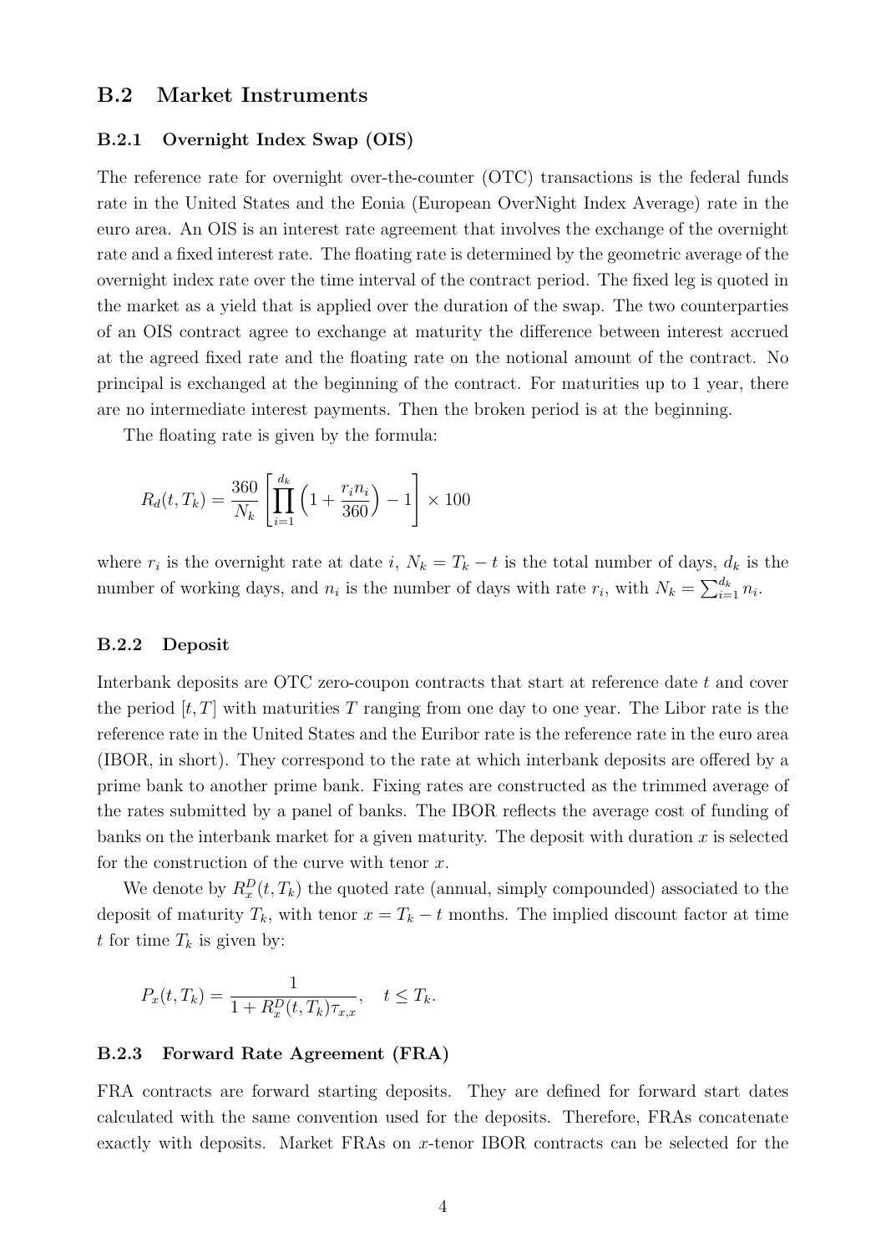#### <span id="page-3-0"></span>B.2 Market Instruments

#### B.2.1 Overnight Index Swap (OIS)

The reference rate for overnight over-the-counter (OTC) transactions is the federal funds rate in the United States and the Eonia (European OverNight Index Average) rate in the euro area. An OIS is an interest rate agreement that involves the exchange of the overnight rate and a fixed interest rate. The floating rate is determined by the geometric average of the overnight index rate over the time interval of the contract period. The fixed leg is quoted in the market as a yield that is applied over the duration of the swap. The two counterparties of an OIS contract agree to exchange at maturity the difference between interest accrued at the agreed fixed rate and the floating rate on the notional amount of the contract. No principal is exchanged at the beginning of the contract. For maturities up to 1 year, there are no intermediate interest payments. Then the broken period is at the beginning.

The floating rate is given by the formula:

$$
R_d(t, T_k) = \frac{360}{N_k} \left[ \prod_{i=1}^{d_k} \left( 1 + \frac{r_i n_i}{360} \right) - 1 \right] \times 100
$$

where  $r_i$  is the overnight rate at date i,  $N_k = T_k - t$  is the total number of days,  $d_k$  is the number of working days, and  $n_i$  is the number of days with rate  $r_i$ , with  $N_k = \sum_{i=1}^{d_k} n_i$ .

#### B.2.2 Deposit

Interbank deposits are OTC zero-coupon contracts that start at reference date t and cover the period  $[t, T]$  with maturities T ranging from one day to one year. The Libor rate is the reference rate in the United States and the Euribor rate is the reference rate in the euro area (IBOR, in short). They correspond to the rate at which interbank deposits are offered by a prime bank to another prime bank. Fixing rates are constructed as the trimmed average of the rates submitted by a panel of banks. The IBOR reflects the average cost of funding of banks on the interbank market for a given maturity. The deposit with duration  $x$  is selected for the construction of the curve with tenor  $x$ .

We denote by  $R_x^D(t,T_k)$  the quoted rate (annual, simply compounded) associated to the deposit of maturity  $T_k$ , with tenor  $x = T_k - t$  months. The implied discount factor at time t for time  $T_k$  is given by:

$$
P_x(t, T_k) = \frac{1}{1 + R_x^D(t, T_k)\tau_{x,x}}, \quad t \le T_k.
$$

#### B.2.3 Forward Rate Agreement (FRA)

FRA contracts are forward starting deposits. They are defined for forward start dates calculated with the same convention used for the deposits. Therefore, FRAs concatenate exactly with deposits. Market FRAs on x-tenor IBOR contracts can be selected for the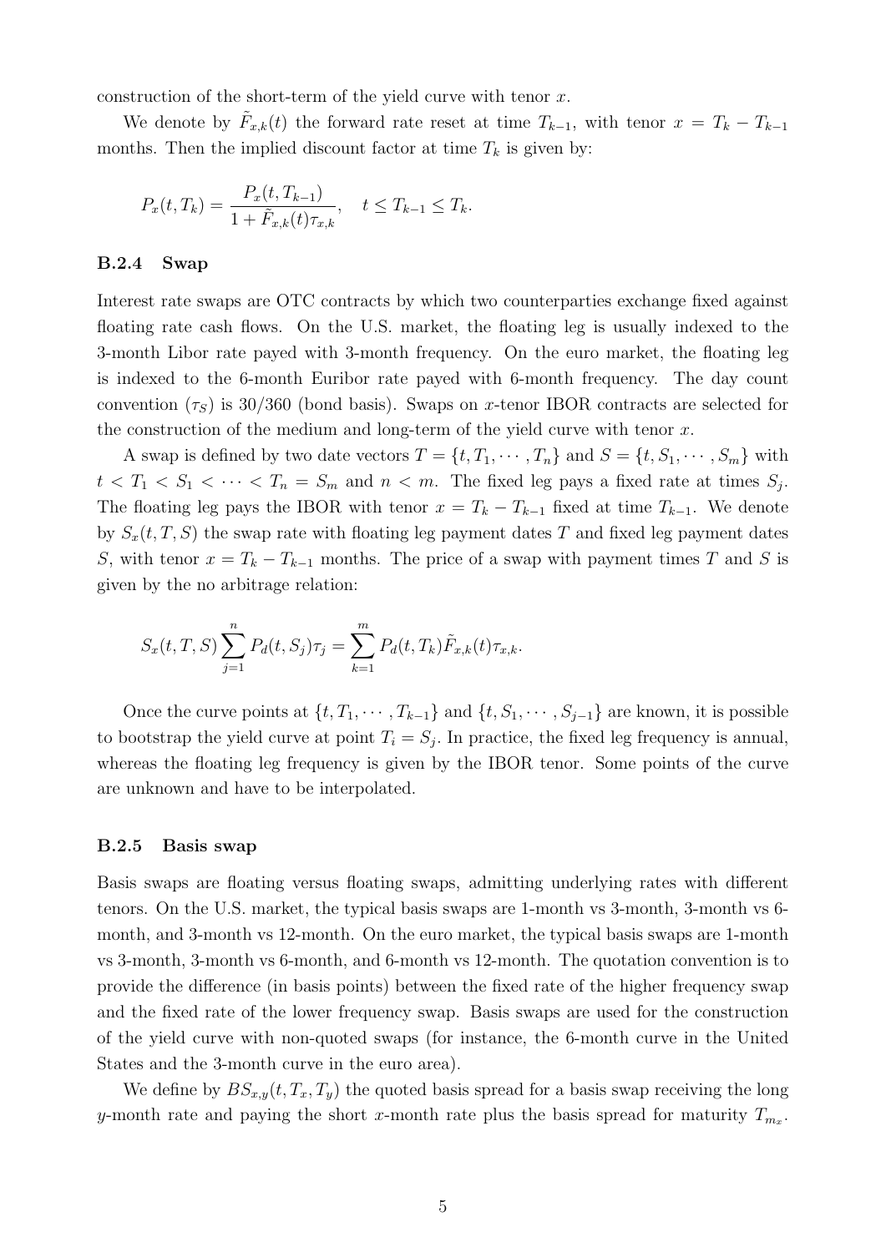construction of the short-term of the yield curve with tenor  $x$ .

We denote by  $\tilde{F}_{x,k}(t)$  the forward rate reset at time  $T_{k-1}$ , with tenor  $x = T_k - T_{k-1}$ months. Then the implied discount factor at time  $T_k$  is given by:

$$
P_x(t,T_k) = \frac{P_x(t,T_{k-1})}{1 + \tilde{F}_{x,k}(t)\tau_{x,k}}, \quad t \le T_{k-1} \le T_k.
$$

#### B.2.4 Swap

Interest rate swaps are OTC contracts by which two counterparties exchange fixed against floating rate cash flows. On the U.S. market, the floating leg is usually indexed to the 3-month Libor rate payed with 3-month frequency. On the euro market, the floating leg is indexed to the 6-month Euribor rate payed with 6-month frequency. The day count convention  $(\tau_S)$  is 30/360 (bond basis). Swaps on x-tenor IBOR contracts are selected for the construction of the medium and long-term of the yield curve with tenor  $x$ .

A swap is defined by two date vectors  $T = \{t, T_1, \dots, T_n\}$  and  $S = \{t, S_1, \dots, S_m\}$  with  $t < T_1 < S_1 < \cdots < T_n = S_m$  and  $n < m$ . The fixed leg pays a fixed rate at times  $S_j$ . The floating leg pays the IBOR with tenor  $x = T_k - T_{k-1}$  fixed at time  $T_{k-1}$ . We denote by  $S_x(t, T, S)$  the swap rate with floating leg payment dates T and fixed leg payment dates S, with tenor  $x = T_k - T_{k-1}$  months. The price of a swap with payment times T and S is given by the no arbitrage relation:

$$
S_x(t, T, S) \sum_{j=1}^{n} P_d(t, S_j) \tau_j = \sum_{k=1}^{m} P_d(t, T_k) \tilde{F}_{x,k}(t) \tau_{x,k}.
$$

Once the curve points at  $\{t, T_1, \cdots, T_{k-1}\}\$  and  $\{t, S_1, \cdots, S_{j-1}\}\$  are known, it is possible to bootstrap the yield curve at point  $T_i = S_j$ . In practice, the fixed leg frequency is annual, whereas the floating leg frequency is given by the IBOR tenor. Some points of the curve are unknown and have to be interpolated.

#### B.2.5 Basis swap

Basis swaps are floating versus floating swaps, admitting underlying rates with different tenors. On the U.S. market, the typical basis swaps are 1-month vs 3-month, 3-month vs 6 month, and 3-month vs 12-month. On the euro market, the typical basis swaps are 1-month vs 3-month, 3-month vs 6-month, and 6-month vs 12-month. The quotation convention is to provide the difference (in basis points) between the fixed rate of the higher frequency swap and the fixed rate of the lower frequency swap. Basis swaps are used for the construction of the yield curve with non-quoted swaps (for instance, the 6-month curve in the United States and the 3-month curve in the euro area).

We define by  $BS_{x,y}(t, T_x, T_y)$  the quoted basis spread for a basis swap receiving the long y-month rate and paying the short x-month rate plus the basis spread for maturity  $T_{m_x}$ .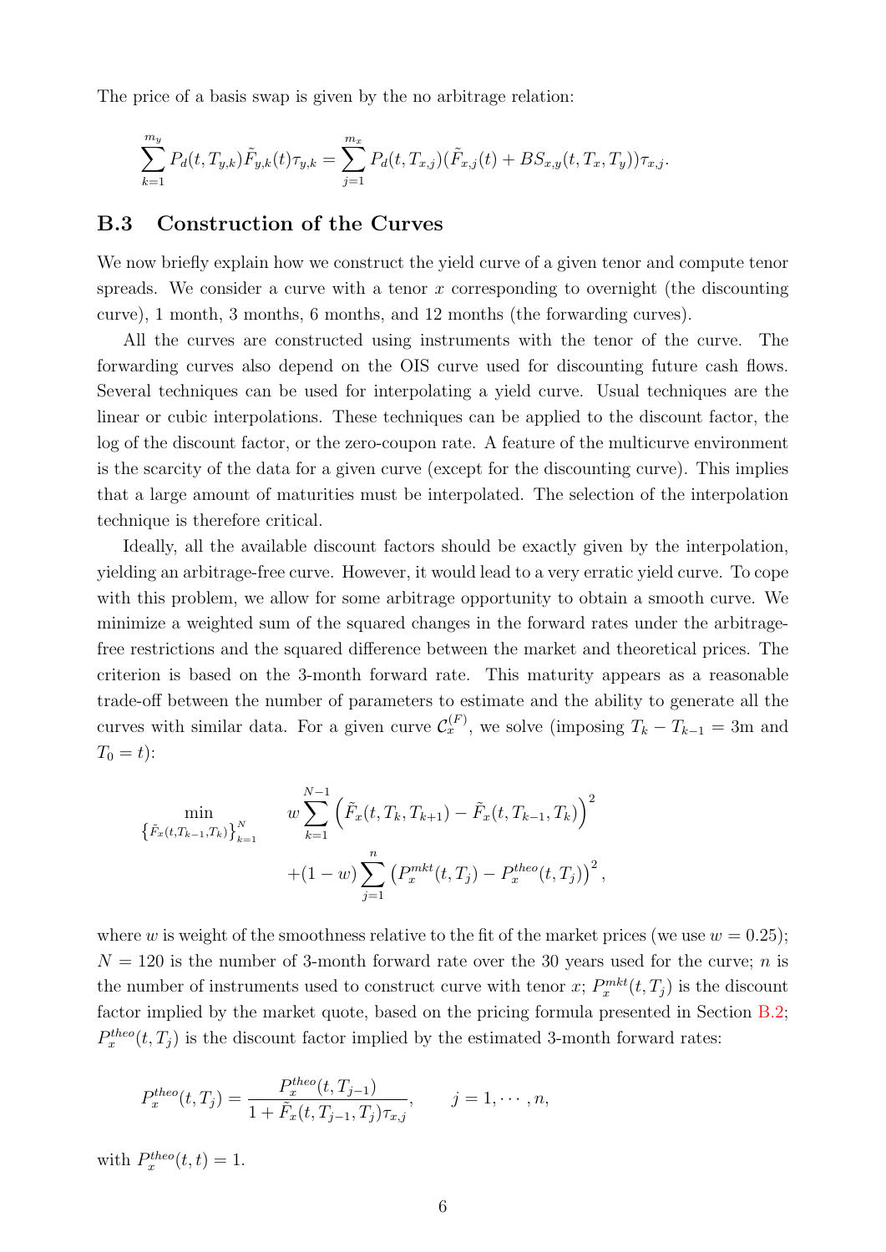The price of a basis swap is given by the no arbitrage relation:

$$
\sum_{k=1}^{m_y} P_d(t, T_{y,k}) \tilde{F}_{y,k}(t) \tau_{y,k} = \sum_{j=1}^{m_x} P_d(t, T_{x,j}) (\tilde{F}_{x,j}(t) + BS_{x,y}(t, T_x, T_y)) \tau_{x,j}.
$$

#### B.3 Construction of the Curves

We now briefly explain how we construct the yield curve of a given tenor and compute tenor spreads. We consider a curve with a tenor  $x$  corresponding to overnight (the discounting curve), 1 month, 3 months, 6 months, and 12 months (the forwarding curves).

All the curves are constructed using instruments with the tenor of the curve. The forwarding curves also depend on the OIS curve used for discounting future cash flows. Several techniques can be used for interpolating a yield curve. Usual techniques are the linear or cubic interpolations. These techniques can be applied to the discount factor, the log of the discount factor, or the zero-coupon rate. A feature of the multicurve environment is the scarcity of the data for a given curve (except for the discounting curve). This implies that a large amount of maturities must be interpolated. The selection of the interpolation technique is therefore critical.

Ideally, all the available discount factors should be exactly given by the interpolation, yielding an arbitrage-free curve. However, it would lead to a very erratic yield curve. To cope with this problem, we allow for some arbitrage opportunity to obtain a smooth curve. We minimize a weighted sum of the squared changes in the forward rates under the arbitragefree restrictions and the squared difference between the market and theoretical prices. The criterion is based on the 3-month forward rate. This maturity appears as a reasonable trade-off between the number of parameters to estimate and the ability to generate all the curves with similar data. For a given curve  $\mathcal{C}_x^{(F)}$ , we solve (imposing  $T_k - T_{k-1} = 3$ m and  $T_0 = t$ :

$$
\begin{aligned}\n\min_{\left\{\tilde{F}_x(t,T_{k-1},T_k)\right\}_{k=1}^N} \quad & w \sum_{k=1}^{N-1} \left(\tilde{F}_x(t,T_k,T_{k+1}) - \tilde{F}_x(t,T_{k-1},T_k)\right)^2 \\
&+ (1-w) \sum_{j=1}^n \left(P_x^{mkt}(t,T_j) - P_x^{theo}(t,T_j)\right)^2,\n\end{aligned}
$$

where w is weight of the smoothness relative to the fit of the market prices (we use  $w = 0.25$ );  $N = 120$  is the number of 3-month forward rate over the 30 years used for the curve; *n* is the number of instruments used to construct curve with tenor x;  $P_x^{mkt}(t, T_j)$  is the discount factor implied by the market quote, based on the pricing formula presented in Section [B.2;](#page-3-0)  $P_x^{theo}(t,T_j)$  is the discount factor implied by the estimated 3-month forward rates:

$$
P_x^{theo}(t,T_j) = \frac{P_x^{theo}(t,T_{j-1})}{1 + \tilde{F}_x(t,T_{j-1},T_j)\tau_{x,j}}, \qquad j = 1, \cdots, n,
$$

with  $P_x^{theo}(t,t) = 1$ .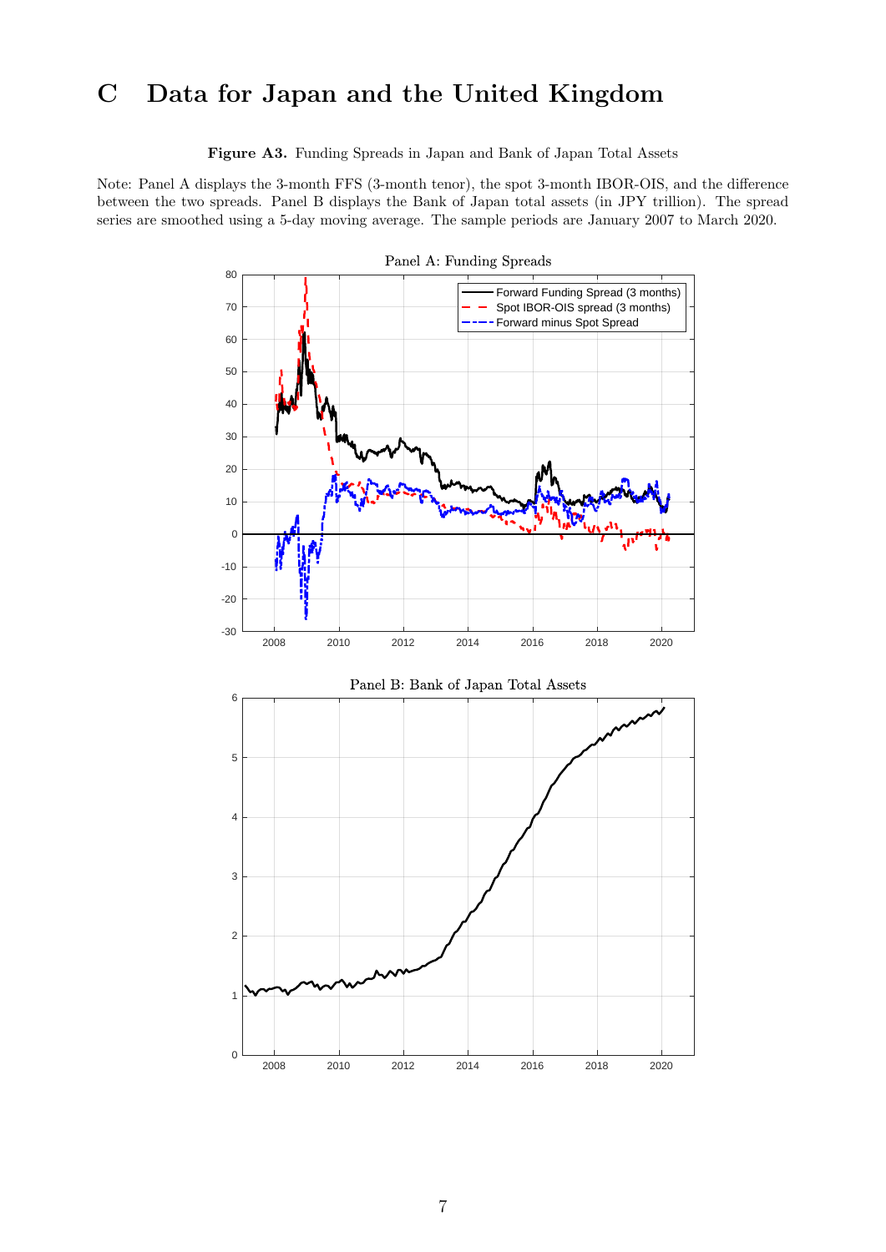## <span id="page-6-0"></span>C Data for Japan and the United Kingdom

Figure A3. Funding Spreads in Japan and Bank of Japan Total Assets

Note: Panel A displays the 3-month FFS (3-month tenor), the spot 3-month IBOR-OIS, and the difference between the two spreads. Panel B displays the Bank of Japan total assets (in JPY trillion). The spread series are smoothed using a 5-day moving average. The sample periods are January 2007 to March 2020.